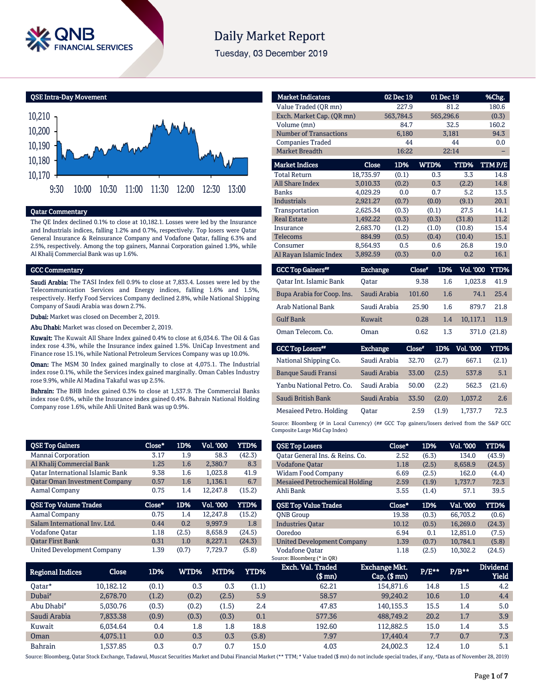

# **Daily Market Report**

Tuesday, 03 December 2019

QSE Intra-Day Movement



#### Qatar Commentary

The QE Index declined 0.1% to close at 10,182.1. Losses were led by the Insurance and Industrials indices, falling 1.2% and 0.7%, respectively. Top losers were Qatar General Insurance & Reinsurance Company and Vodafone Qatar, falling 6.3% and 2.5%, respectively. Among the top gainers, Mannai Corporation gained 1.9%, while Al Khalij Commercial Bank was up 1.6%.

#### GCC Commentary

Saudi Arabia: The TASI Index fell 0.9% to close at 7,833.4. Losses were led by the Telecommunication Services and Energy indices, falling 1.6% and 1.5%, respectively. Herfy Food Services Company declined 2.8%, while National Shipping Company of Saudi Arabia was down 2.7%.

Dubai: Market was closed on December 2, 2019.

Abu Dhabi: Market was closed on December 2, 2019.

Kuwait: The Kuwait All Share Index gained 0.4% to close at 6,034.6. The Oil & Gas index rose 4.3%, while the Insurance index gained 1.5%. UniCap Investment and Finance rose 15.1%, while National Petroleum Services Company was up 10.0%.

Oman: The MSM 30 Index gained marginally to close at 4,075.1. The Industrial index rose 0.1%, while the Services index gained marginally. Oman Cables Industry rose 9.9%, while Al Madina Takaful was up 2.5%.

Bahrain: The BHB Index gained 0.3% to close at 1,537.9. The Commercial Banks index rose 0.6%, while the Insurance index gained 0.4%. Bahrain National Holding Company rose 1.6%, while Ahli United Bank was up 0.9%.

|        |        |                  | <b>YTD%</b> |
|--------|--------|------------------|-------------|
| 3.17   | 1.9    | 58.3             | (42.3)      |
| 1.25   | 1.6    | 2.380.7          | 8.3         |
| 9.38   | 1.6    | 1,023.8          | 41.9        |
| 0.57   | 1.6    | 1,136.1          | 6.7         |
| 0.75   | 1.4    | 12,247.8         | (15.2)      |
|        |        |                  |             |
| Close* | 1D%    | <b>Vol. '000</b> | <b>YTD%</b> |
| 0.75   | 1.4    | 12,247.8         | (15.2)      |
| 0.44   | 0.2    | 9,997.9          | 1.8         |
| 1.18   | (2.5)  | 8,658.9          | (24.5)      |
| 0.31   | 1.0    | 8,227.1          | (24.3)      |
|        | Close* | 1D%              | Vol. '000   |

| <b>Market Indicators</b>      |           | 02 Dec 19 | 01 Dec 19 |        | %Chg.  |
|-------------------------------|-----------|-----------|-----------|--------|--------|
| Value Traded (OR mn)          |           | 227.9     |           | 81.2   | 180.6  |
| Exch. Market Cap. (QR mn)     |           | 563,784.5 | 565,296.6 |        | (0.3)  |
| Volume (mn)                   |           | 84.7      |           | 32.5   | 160.2  |
| <b>Number of Transactions</b> |           | 6,180     |           | 3,181  | 94.3   |
| <b>Companies Traded</b>       |           | 44        |           | 44     | 0.0    |
| <b>Market Breadth</b>         |           | 16:22     |           | 22:14  |        |
|                               |           |           |           |        |        |
| <b>Market Indices</b>         | Close     | 1D%       | WTD%      | YTD%   | TTMP/E |
| <b>Total Return</b>           | 18,735.97 | (0.1)     | 0.3       | 3.3    | 14.8   |
| All Share Index               | 3,010.33  | (0.2)     | 0.3       | (2.2)  | 14.8   |
| <b>Banks</b>                  | 4.029.29  | 0.0       | 0.7       | 5.2    | 13.5   |
| <b>Industrials</b>            | 2.921.27  | (0.7)     | (0.0)     | (9.1)  | 20.1   |
| Transportation                | 2.625.34  | (0.3)     | (0.1)     | 27.5   | 14.1   |
| <b>Real Estate</b>            | 1,492.22  | (0.3)     | (0.3)     | (31.8) | 11.2   |
| Insurance                     | 2,683.70  | (1.2)     | (1.0)     | (10.8) | 15.4   |
| Telecoms                      | 884.99    | (0.5)     | (0.4)     | (10.4) | 15.1   |
| Consumer                      | 8.564.93  | 0.5       | 0.6       | 26.8   | 19.0   |
| Al Rayan Islamic Index        | 3,892.59  | (0.3)     | 0.0       | 0.2    | 16.1   |

| <b>GCC Top Gainers**</b>   | Exchange,    | Close* | 1D% | <b>Vol. '000 YTD%</b> |              |
|----------------------------|--------------|--------|-----|-----------------------|--------------|
| Oatar Int. Islamic Bank    | Oatar        | 9.38   | 1.6 | 1.023.8               | 41.9         |
| Bupa Arabia for Coop. Ins. | Saudi Arabia | 101.60 | 1.6 | 74.1                  | 2.5.4        |
| Arab National Bank         | Saudi Arabia | 25.90  | 1.6 | 879.7                 | 21.8         |
| <b>Gulf Bank</b>           | Kuwait       | 0.28   | 1.4 | 10.117.1              | 11.9         |
| Oman Telecom, Co.          | Oman         | 0.62   | 1.3 |                       | 371.0 (21.8) |

| <b>GCC Top Losers**</b>    | <b>Exchange</b> | Close* | 1D%   | <b>Vol. '000'</b> | YTD%   |
|----------------------------|-----------------|--------|-------|-------------------|--------|
| National Shipping Co.      | Saudi Arabia    | 32.70  | (2.7) | 667.1             | (2.1)  |
| <b>Banque Saudi Fransi</b> | Saudi Arabia    | 33.00  | (2.5) | 537.8             | 5.1    |
| Yanbu National Petro, Co.  | Saudi Arabia    | 50.00  | (2.2) | 562.3             | (21.6) |
| Saudi British Bank         | Saudi Arabia    | 33.50  | (2.0) | 1.037.2           | 2.6    |
| Mesaieed Petro. Holding    | Oatar           | 2.59   | (1.9) | 1.737.7           | 72.3   |

Source: Bloomberg (# in Local Currency) (## GCC Top gainers/losers derived from the S&P GCC Composite Large Mid Cap Index)

| <b>QSE Top Losers</b>             | Close* | 1D%   | Vol. '000 | YTD%   |
|-----------------------------------|--------|-------|-----------|--------|
| Oatar General Ins. & Reins. Co.   | 2.52   | (6.3) | 134.0     | (43.9) |
| <b>Vodafone Qatar</b>             | 1.18   | (2.5) | 8,658.9   | (24.5) |
| <b>Widam Food Company</b>         | 6.69   | (2.5) | 162.0     | (4.4)  |
| Mesaieed Petrochemical Holding    | 2.59   | (1.9) | 1.737.7   | 72.3   |
| Ahli Bank                         | 3.55   | (1.4) | 57.1      | 39.5   |
|                                   |        |       |           |        |
|                                   |        |       |           |        |
| <b>OSE Top Value Trades</b>       | Close* | 1D%   | Val. '000 | YTD%   |
| <b>ONB</b> Group                  | 19.38  | (0.3) | 66.703.2  | (0.6)  |
| <b>Industries Qatar</b>           | 10.12  | (0.5) | 16.269.0  | (24.3) |
| Ooredoo                           | 6.94   | 0.1   | 12.851.0  | (7.5)  |
| <b>United Development Company</b> | 1.39   | (0.7) | 10,784.1  | (5.8)  |

| Regional Indices       | Close     | 1D%   | WTD%  | MTD%  | YTD%  | Exch. Val. Traded<br>$$$ mn $)$ | <b>Exchange Mkt.</b><br>$Cap.$ (\$ mn) | $P/E***$ | $P/B***$ | <b>Dividend</b><br>Yield |
|------------------------|-----------|-------|-------|-------|-------|---------------------------------|----------------------------------------|----------|----------|--------------------------|
| Oatar*                 | 10.182.12 | (0.1) | 0.3   | 0.3   | (1.1) | 62.21                           | 154,871.6                              | 14.8     | $1.5\,$  | 4.2                      |
| Dubai <sup>#</sup>     | 2.678.70  | (1.2) | (0.2) | (2.5) | 5.9   | 58.57                           | 99.240.2                               | 10.6     | 1.0      | 4.4                      |
| Abu Dhabi <sup>#</sup> | 5.030.76  | (0.3) | (0.2) | (1.5) | 2.4   | 47.83                           | 140.155.3                              | 15.5     | 1.4      | 5.0                      |
| Saudi Arabia           | 7,833.38  | (0.9) | (0.3) | (0.3) | 0.1   | 577.36                          | 488,749.2                              | 20.2     | 1.7      | 3.9                      |
| Kuwait                 | 6.034.64  | 0.4   | 1.8   | 1.8   | 18.8  | 192.60                          | 112.882.5                              | 15.0     | 1.4      | 3.5                      |
| Oman                   | 4.075.11  | 0.0   | 0.3   | 0.3   | (5.8) | 7.97                            | 17.440.4                               | 7.7      | 0.7      | 7.3                      |
| <b>Bahrain</b>         | 1.537.85  | 0.3   | 0.7   | 0.7   | 15.0  | 4.03                            | 24.002.3                               | 12.4     | $1.0\,$  | 5.1                      |

Source: Bloomberg, Qatar Stock Exchange, Tadawul, Muscat Securities Market and Dubai Financial Market (\*\* TTM; \* Value traded (\$ mn) do not include special trades, if any, #Data as of November 28, 2019)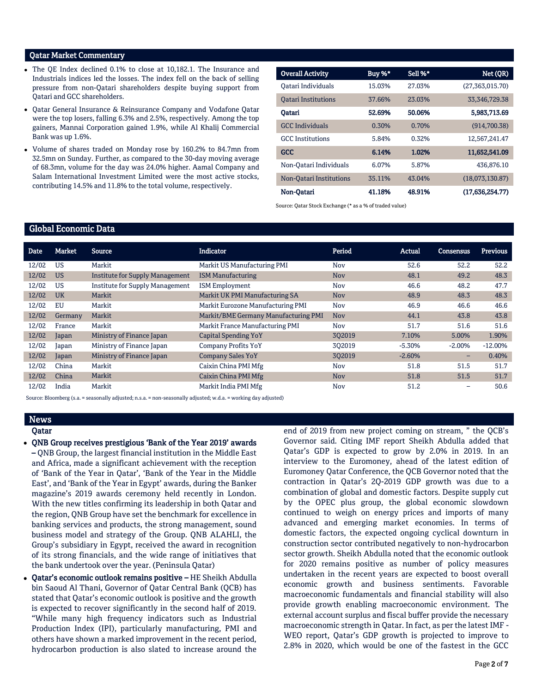#### Qatar Market Commentary

- The OE Index declined 0.1% to close at 10.182.1. The Insurance and Industrials indices led the losses. The index fell on the back of selling pressure from non-Qatari shareholders despite buying support from Qatari and GCC shareholders.
- Qatar General Insurance & Reinsurance Company and Vodafone Qatar were the top losers, falling 6.3% and 2.5%, respectively. Among the top gainers, Mannai Corporation gained 1.9%, while Al Khalij Commercial Bank was up 1.6%.
- Volume of shares traded on Monday rose by 160.2% to 84.7mn from 32.5mn on Sunday. Further, as compared to the 30-day moving average of 68.3mn, volume for the day was 24.0% higher. Aamal Company and Salam International Investment Limited were the most active stocks, contributing 14.5% and 11.8% to the total volume, respectively.

| <b>Overall Activity</b>    | Buy %* | Sell %* | Net (QR)           |
|----------------------------|--------|---------|--------------------|
| Oatari Individuals         | 15.03% | 27.03%  | (27, 363, 015, 70) |
| <b>Oatari Institutions</b> | 37.66% | 23.03%  | 33, 346, 729. 38   |
| Oatari                     | 52.69% | 50.06%  | 5,983,713.69       |
| <b>GCC</b> Individuals     | 0.30%  | 0.70%   | (914.700.38)       |
| <b>GCC</b> Institutions    | 5.84%  | 0.32%   | 12,567,241.47      |
| <b>GCC</b>                 | 6.14%  | 1.02%   | 11,652,541.09      |
| Non-Oatari Individuals     | 6.07%  | 5.87%   | 436.876.10         |
| Non-Oatari Institutions    | 35.11% | 43.04%  | (18,073,130.87)    |
| Non-Oatari                 | 41.18% | 48.91%  | (17.636.254.77)    |

Source: Qatar Stock Exchange (\* as a % of traded value)

## Global Economic Data

| Date  | Market    | <b>Source</b>                          | <b>Indicator</b>                     | Period     | Actual   | <b>Consensus</b>         | <b>Previous</b> |
|-------|-----------|----------------------------------------|--------------------------------------|------------|----------|--------------------------|-----------------|
| 12/02 | <b>US</b> | Markit                                 | Markit US Manufacturing PMI          | Nov        | 52.6     | 52.2                     | 52.2            |
| 12/02 | <b>US</b> | <b>Institute for Supply Management</b> | <b>ISM Manufacturing</b>             | <b>Nov</b> | 48.1     | 49.2                     | 48.3            |
| 12/02 | US        | <b>Institute for Supply Management</b> | <b>ISM Employment</b>                | Nov        | 46.6     | 48.2                     | 47.7            |
| 12/02 | <b>UK</b> | Markit                                 | Markit UK PMI Manufacturing SA       | <b>Nov</b> | 48.9     | 48.3                     | 48.3            |
| 12/02 | EU        | Markit                                 | Markit Eurozone Manufacturing PMI    | Nov        | 46.9     | 46.6                     | 46.6            |
| 12/02 | Germany   | Markit                                 | Markit/BME Germany Manufacturing PMI | <b>Nov</b> | 44.1     | 43.8                     | 43.8            |
| 12/02 | France    | Markit                                 | Markit France Manufacturing PMI      | Nov        | 51.7     | 51.6                     | 51.6            |
| 12/02 | Japan     | Ministry of Finance Japan              | <b>Capital Spending YoY</b>          | 302019     | 7.10%    | 5.00%                    | 1.90%           |
| 12/02 | Japan     | Ministry of Finance Japan              | Company Profits YoY                  | 302019     | $-5.30%$ | $-2.00\%$                | $-12.00\%$      |
| 12/02 | Japan     | Ministry of Finance Japan              | <b>Company Sales YoY</b>             | 302019     | $-2.60%$ | $\overline{\phantom{0}}$ | 0.40%           |
| 12/02 | China     | Markit                                 | Caixin China PMI Mfg                 | Nov        | 51.8     | 51.5                     | 51.7            |
| 12/02 | China     | Markit                                 | Caixin China PMI Mfg                 | <b>Nov</b> | 51.8     | 51.5                     | 51.7            |
| 12/02 | India     | Markit                                 | Markit India PMI Mfg                 | Nov        | 51.2     |                          | 50.6            |

Source: Bloomberg (s.a. = seasonally adjusted; n.s.a. = non-seasonally adjusted; w.d.a. = working day adjusted)

### **News** Qatar

- QNB Group receives prestigious 'Bank of the Year 2019' awards – QNB Group, the largest financial institution in the Middle East and Africa, made a significant achievement with the reception of 'Bank of the Year in Qatar', 'Bank of the Year in the Middle East', and 'Bank of the Year in Egypt' awards, during the Banker magazine's 2019 awards ceremony held recently in London. With the new titles confirming its leadership in both Qatar and the region, QNB Group have set the benchmark for excellence in banking services and products, the strong management, sound business model and strategy of the Group. QNB ALAHLI, the Group's subsidiary in Egypt, received the award in recognition of its strong financials, and the wide range of initiatives that the bank undertook over the year. (Peninsula Qatar)
- Qatar's economic outlook remains positive HE Sheikh Abdulla bin Saoud Al Thani, Governor of Qatar Central Bank (QCB) has stated that Qatar's economic outlook is positive and the growth is expected to recover significantly in the second half of 2019. "While many high frequency indicators such as Industrial Production Index (IPI), particularly manufacturing, PMI and others have shown a marked improvement in the recent period, hydrocarbon production is also slated to increase around the

end of 2019 from new project coming on stream, " the QCB's Governor said. Citing IMF report Sheikh Abdulla added that Qatar's GDP is expected to grow by 2.0% in 2019. In an interview to the Euromoney, ahead of the latest edition of Euromoney Qatar Conference, the QCB Governor noted that the contraction in Qatar's 2Q-2019 GDP growth was due to a combination of global and domestic factors. Despite supply cut by the OPEC plus group, the global economic slowdown continued to weigh on energy prices and imports of many advanced and emerging market economies. In terms of domestic factors, the expected ongoing cyclical downturn in construction sector contributed negatively to non-hydrocarbon sector growth. Sheikh Abdulla noted that the economic outlook for 2020 remains positive as number of policy measures undertaken in the recent years are expected to boost overall economic growth and business sentiments. Favorable macroeconomic fundamentals and financial stability will also provide growth enabling macroeconomic environment. The external account surplus and fiscal buffer provide the necessary macroeconomic strength in Qatar. In fact, as per the latest IMF - WEO report, Qatar's GDP growth is projected to improve to 2.8% in 2020, which would be one of the fastest in the GCC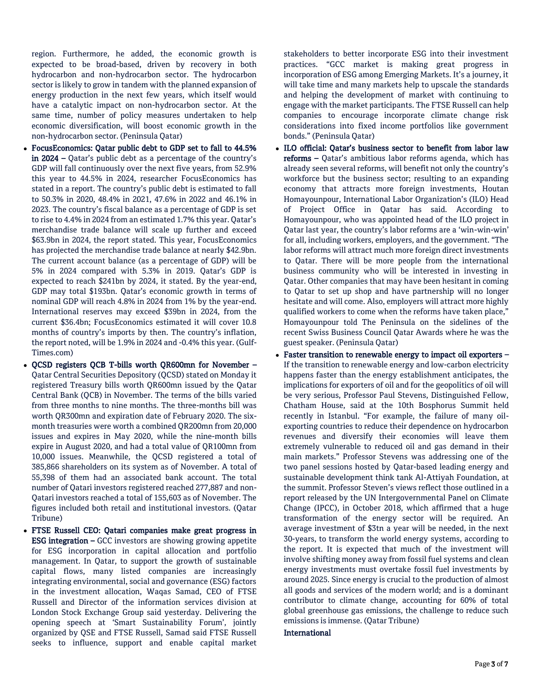region. Furthermore, he added, the economic growth is expected to be broad-based, driven by recovery in both hydrocarbon and non-hydrocarbon sector. The hydrocarbon sector is likely to grow in tandem with the planned expansion of energy production in the next few years, which itself would have a catalytic impact on non-hydrocarbon sector. At the same time, number of policy measures undertaken to help economic diversification, will boost economic growth in the non-hydrocarbon sector. (Peninsula Qatar)

- FocusEconomics: Qatar public debt to GDP set to fall to 44.5% in 2024 – Qatar's public debt as a percentage of the country's GDP will fall continuously over the next five years, from 52.9% this year to 44.5% in 2024, researcher FocusEconomics has stated in a report. The country's public debt is estimated to fall to 50.3% in 2020, 48.4% in 2021, 47.6% in 2022 and 46.1% in 2023. The country's fiscal balance as a percentage of GDP is set to rise to 4.4% in 2024 from an estimated 1.7% this year. Qatar's merchandise trade balance will scale up further and exceed \$63.9bn in 2024, the report stated. This year, FocusEconomics has projected the merchandise trade balance at nearly \$42.9bn. The current account balance (as a percentage of GDP) will be 5% in 2024 compared with 5.3% in 2019. Qatar's GDP is expected to reach \$241bn by 2024, it stated. By the year-end, GDP may total \$193bn. Qatar's economic growth in terms of nominal GDP will reach 4.8% in 2024 from 1% by the year-end. International reserves may exceed \$39bn in 2024, from the current \$36.4bn; FocusEconomics estimated it will cover 10.8 months of country's imports by then. The country's inflation, the report noted, will be 1.9% in 2024 and -0.4% this year. (Gulf-Times.com)
- QCSD registers QCB T-bills worth QR600mn for November Qatar Central Securities Depository (QCSD) stated on Monday it registered Treasury bills worth QR600mn issued by the Qatar Central Bank (QCB) in November. The terms of the bills varied from three months to nine months. The three-months bill was worth QR300mn and expiration date of February 2020. The sixmonth treasuries were worth a combined QR200mn from 20,000 issues and expires in May 2020, while the nine-month bills expire in August 2020, and had a total value of QR100mn from 10,000 issues. Meanwhile, the QCSD registered a total of 385,866 shareholders on its system as of November. A total of 55,398 of them had an associated bank account. The total number of Qatari investors registered reached 277,887 and non-Qatari investors reached a total of 155,603 as of November. The figures included both retail and institutional investors. (Qatar Tribune)
- FTSE Russell CEO: Qatari companies make great progress in ESG integration – GCC investors are showing growing appetite for ESG incorporation in capital allocation and portfolio management. In Qatar, to support the growth of sustainable capital flows, many listed companies are increasingly integrating environmental, social and governance (ESG) factors in the investment allocation, Waqas Samad, CEO of FTSE Russell and Director of the information services division at London Stock Exchange Group said yesterday. Delivering the opening speech at 'Smart Sustainability Forum', jointly organized by QSE and FTSE Russell, Samad said FTSE Russell seeks to influence, support and enable capital market

stakeholders to better incorporate ESG into their investment practices. "GCC market is making great progress in incorporation of ESG among Emerging Markets. It's a journey, it will take time and many markets help to upscale the standards and helping the development of market with continuing to engage with the market participants. The FTSE Russell can help companies to encourage incorporate climate change risk considerations into fixed income portfolios like government bonds." (Peninsula Qatar)

- ILO official: Qatar's business sector to benefit from labor law reforms – Qatar's ambitious labor reforms agenda, which has already seen several reforms, will benefit not only the country's workforce but the business sector; resulting to an expanding economy that attracts more foreign investments, Houtan Homayounpour, International Labor Organization's (ILO) Head of Project Office in Qatar has said. According to Homayounpour, who was appointed head of the ILO project in Qatar last year, the country's labor reforms are a 'win-win-win' for all, including workers, employers, and the government. "The labor reforms will attract much more foreign direct investments to Qatar. There will be more people from the international business community who will be interested in investing in Qatar. Other companies that may have been hesitant in coming to Qatar to set up shop and have partnership will no longer hesitate and will come. Also, employers will attract more highly qualified workers to come when the reforms have taken place," Homayounpour told The Peninsula on the sidelines of the recent Swiss Business Council Qatar Awards where he was the guest speaker. (Peninsula Qatar)
- Faster transition to renewable energy to impact oil exporters If the transition to renewable energy and low-carbon electricity happens faster than the energy establishment anticipates, the implications for exporters of oil and for the geopolitics of oil will be very serious, Professor Paul Stevens, Distinguished Fellow, Chatham House, said at the 10th Bosphorus Summit held recently in Istanbul. "For example, the failure of many oilexporting countries to reduce their dependence on hydrocarbon revenues and diversify their economies will leave them extremely vulnerable to reduced oil and gas demand in their main markets." Professor Stevens was addressing one of the two panel sessions hosted by Qatar-based leading energy and sustainable development think tank Al-Attiyah Foundation, at the summit. Professor Steven's views reflect those outlined in a report released by the UN Intergovernmental Panel on Climate Change (IPCC), in October 2018, which affirmed that a huge transformation of the energy sector will be required. An average investment of \$3tn a year will be needed, in the next 30-years, to transform the world energy systems, according to the report. It is expected that much of the investment will involve shifting money away from fossil fuel systems and clean energy investments must overtake fossil fuel investments by around 2025. Since energy is crucial to the production of almost all goods and services of the modern world; and is a dominant contributor to climate change, accounting for 60% of total global greenhouse gas emissions, the challenge to reduce such emissions is immense. (Qatar Tribune)

# International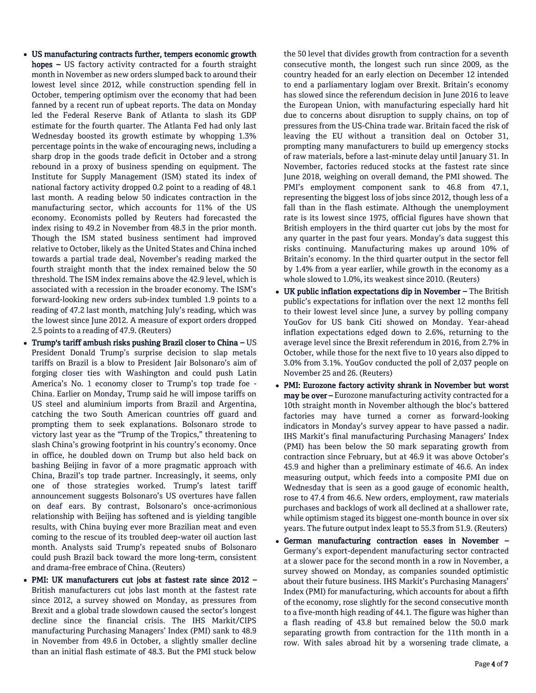- US manufacturing contracts further, tempers economic growth hopes – US factory activity contracted for a fourth straight month in November as new orders slumped back to around their lowest level since 2012, while construction spending fell in October, tempering optimism over the economy that had been fanned by a recent run of upbeat reports. The data on Monday led the Federal Reserve Bank of Atlanta to slash its GDP estimate for the fourth quarter. The Atlanta Fed had only last Wednesday boosted its growth estimate by whopping 1.3% percentage points in the wake of encouraging news, including a sharp drop in the goods trade deficit in October and a strong rebound in a proxy of business spending on equipment. The Institute for Supply Management (ISM) stated its index of national factory activity dropped 0.2 point to a reading of 48.1 last month. A reading below 50 indicates contraction in the manufacturing sector, which accounts for 11% of the US economy. Economists polled by Reuters had forecasted the index rising to 49.2 in November from 48.3 in the prior month. Though the ISM stated business sentiment had improved relative to October, likely as the United States and China inched towards a partial trade deal, November's reading marked the fourth straight month that the index remained below the 50 threshold. The ISM index remains above the 42.9 level, which is associated with a recession in the broader economy. The ISM's forward-looking new orders sub-index tumbled 1.9 points to a reading of 47.2 last month, matching July's reading, which was the lowest since June 2012. A measure of export orders dropped 2.5 points to a reading of 47.9. (Reuters)
- Trump's tariff ambush risks pushing Brazil closer to China US President Donald Trump's surprise decision to slap metals tariffs on Brazil is a blow to President Jair Bolsonaro's aim of forging closer ties with Washington and could push Latin America's No. 1 economy closer to Trump's top trade foe - China. Earlier on Monday, Trump said he will impose tariffs on US steel and aluminium imports from Brazil and Argentina, catching the two South American countries off guard and prompting them to seek explanations. Bolsonaro strode to victory last year as the "Trump of the Tropics," threatening to slash China's growing footprint in his country's economy. Once in office, he doubled down on Trump but also held back on bashing Beijing in favor of a more pragmatic approach with China, Brazil's top trade partner. Increasingly, it seems, only one of those strategies worked. Trump's latest tariff announcement suggests Bolsonaro's US overtures have fallen on deaf ears. By contrast, Bolsonaro's once-acrimonious relationship with Beijing has softened and is yielding tangible results, with China buying ever more Brazilian meat and even coming to the rescue of its troubled deep-water oil auction last month. Analysts said Trump's repeated snubs of Bolsonaro could push Brazil back toward the more long-term, consistent and drama-free embrace of China. (Reuters)
- PMI: UK manufacturers cut jobs at fastest rate since 2012 British manufacturers cut jobs last month at the fastest rate since 2012, a survey showed on Monday, as pressures from Brexit and a global trade slowdown caused the sector's longest decline since the financial crisis. The IHS Markit/CIPS manufacturing Purchasing Managers' Index (PMI) sank to 48.9 in November from 49.6 in October, a slightly smaller decline than an initial flash estimate of 48.3. But the PMI stuck below

the 50 level that divides growth from contraction for a seventh consecutive month, the longest such run since 2009, as the country headed for an early election on December 12 intended to end a parliamentary logjam over Brexit. Britain's economy has slowed since the referendum decision in June 2016 to leave the European Union, with manufacturing especially hard hit due to concerns about disruption to supply chains, on top of pressures from the US-China trade war. Britain faced the risk of leaving the EU without a transition deal on October 31, prompting many manufacturers to build up emergency stocks of raw materials, before a last-minute delay until January 31. In November, factories reduced stocks at the fastest rate since June 2018, weighing on overall demand, the PMI showed. The PMI's employment component sank to 46.8 from 47.1, representing the biggest loss of jobs since 2012, though less of a fall than in the flash estimate. Although the unemployment rate is its lowest since 1975, official figures have shown that British employers in the third quarter cut jobs by the most for any quarter in the past four years. Monday's data suggest this risks continuing. Manufacturing makes up around 10% of Britain's economy. In the third quarter output in the sector fell by 1.4% from a year earlier, while growth in the economy as a whole slowed to 1.0%, its weakest since 2010. (Reuters)

- UK public inflation expectations dip in November The British public's expectations for inflation over the next 12 months fell to their lowest level since June, a survey by polling company YouGov for US bank Citi showed on Monday. Year-ahead inflation expectations edged down to 2.6%, returning to the average level since the Brexit referendum in 2016, from 2.7% in October, while those for the next five to 10 years also dipped to 3.0% from 3.1%. YouGov conducted the poll of 2,037 people on November 25 and 26. (Reuters)
- PMI: Eurozone factory activity shrank in November but worst may be over – Eurozone manufacturing activity contracted for a 10th straight month in November although the bloc's battered factories may have turned a corner as forward-looking indicators in Monday's survey appear to have passed a nadir. IHS Markit's final manufacturing Purchasing Managers' Index (PMI) has been below the 50 mark separating growth from contraction since February, but at 46.9 it was above October's 45.9 and higher than a preliminary estimate of 46.6. An index measuring output, which feeds into a composite PMI due on Wednesday that is seen as a good gauge of economic health, rose to 47.4 from 46.6. New orders, employment, raw materials purchases and backlogs of work all declined at a shallower rate, while optimism staged its biggest one-month bounce in over six years. The future output index leapt to 55.3 from 51.9. (Reuters)
- German manufacturing contraction eases in November Germany's export-dependent manufacturing sector contracted at a slower pace for the second month in a row in November, a survey showed on Monday, as companies sounded optimistic about their future business. IHS Markit's Purchasing Managers' Index (PMI) for manufacturing, which accounts for about a fifth of the economy, rose slightly for the second consecutive month to a five-month high reading of 44.1. The figure was higher than a flash reading of 43.8 but remained below the 50.0 mark separating growth from contraction for the 11th month in a row. With sales abroad hit by a worsening trade climate, a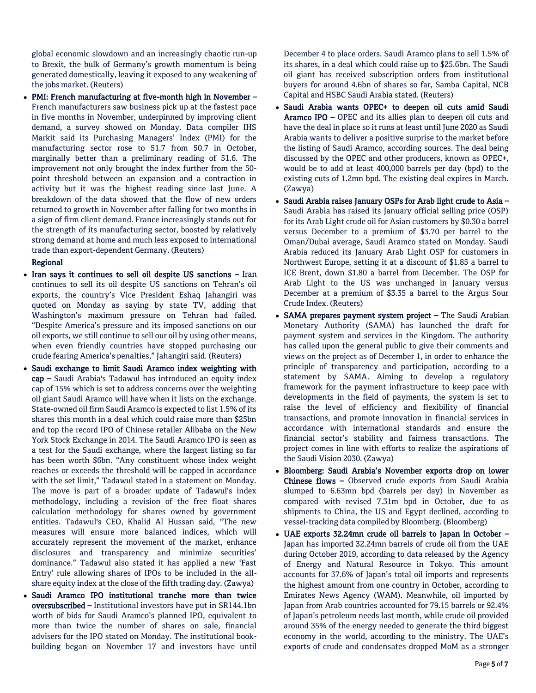global economic slowdown and an increasingly chaotic run-up to Brexit, the bulk of Germany's growth momentum is being generated domestically, leaving it exposed to any weakening of the jobs market. (Reuters)

 PMI: French manufacturing at five-month high in November – French manufacturers saw business pick up at the fastest pace in five months in November, underpinned by improving client demand, a survey showed on Monday. Data compiler IHS Markit said its Purchasing Managers' Index (PMI) for the manufacturing sector rose to 51.7 from 50.7 in October, marginally better than a preliminary reading of 51.6. The improvement not only brought the index further from the 50 point threshold between an expansion and a contraction in activity but it was the highest reading since last June. A breakdown of the data showed that the flow of new orders returned to growth in November after falling for two months in a sign of firm client demand. France increasingly stands out for the strength of its manufacturing sector, boosted by relatively strong demand at home and much less exposed to international trade than export-dependent Germany. (Reuters)

#### Regional

- Iran says it continues to sell oil despite US sanctions Iran continues to sell its oil despite US sanctions on Tehran's oil exports, the country's Vice President Eshaq Jahangiri was quoted on Monday as saying by state TV, adding that Washington's maximum pressure on Tehran had failed. "Despite America's pressure and its imposed sanctions on our oil exports, we still continue to sell our oil by using other means, when even friendly countries have stopped purchasing our crude fearing America's penalties," Jahangiri said. (Reuters)
- Saudi exchange to limit Saudi Aramco index weighting with cap – Saudi Arabia's Tadawul has introduced an equity index cap of 15% which is set to address concerns over the weighting oil giant Saudi Aramco will have when it lists on the exchange. State-owned oil firm Saudi Aramco is expected to list 1.5% of its shares this month in a deal which could raise more than \$25bn and top the record IPO of Chinese retailer Alibaba on the New York Stock Exchange in 2014. The Saudi Aramco IPO is seen as a test for the Saudi exchange, where the largest listing so far has been worth \$6bn. "Any constituent whose index weight reaches or exceeds the threshold will be capped in accordance with the set limit," Tadawul stated in a statement on Monday. The move is part of a broader update of Tadawul's index methodology, including a revision of the free float shares calculation methodology for shares owned by government entities. Tadawul's CEO, Khalid Al Hussan said, "The new measures will ensure more balanced indices, which will accurately represent the movement of the market, enhance disclosures and transparency and minimize securities' dominance." Tadawul also stated it has applied a new 'Fast Entry' rule allowing shares of IPOs to be included in the allshare equity index at the close of the fifth trading day. (Zawya)
- Saudi Aramco IPO institutional tranche more than twice oversubscribed – Institutional investors have put in SR144.1bn worth of bids for Saudi Aramco's planned IPO, equivalent to more than twice the number of shares on sale, financial advisers for the IPO stated on Monday. The institutional bookbuilding began on November 17 and investors have until

December 4 to place orders. Saudi Aramco plans to sell 1.5% of its shares, in a deal which could raise up to \$25.6bn. The Saudi oil giant has received subscription orders from institutional buyers for around 4.6bn of shares so far, Samba Capital, NCB Capital and HSBC Saudi Arabia stated. (Reuters)

- Saudi Arabia wants OPEC+ to deepen oil cuts amid Saudi Aramco IPO – OPEC and its allies plan to deepen oil cuts and have the deal in place so it runs at least until June 2020 as Saudi Arabia wants to deliver a positive surprise to the market before the listing of Saudi Aramco, according sources. The deal being discussed by the OPEC and other producers, known as OPEC+, would be to add at least 400,000 barrels per day (bpd) to the existing cuts of 1.2mn bpd. The existing deal expires in March. (Zawya)
- Saudi Arabia raises January OSPs for Arab light crude to Asia Saudi Arabia has raised its January official selling price (OSP) for its Arab Light crude oil for Asian customers by \$0.30 a barrel versus December to a premium of \$3.70 per barrel to the Oman/Dubai average, Saudi Aramco stated on Monday. Saudi Arabia reduced its January Arab Light OSP for customers in Northwest Europe, setting it at a discount of \$1.85 a barrel to ICE Brent, down \$1.80 a barrel from December. The OSP for Arab Light to the US was unchanged in January versus December at a premium of \$3.35 a barrel to the Argus Sour Crude Index. (Reuters)
- SAMA prepares payment system project The Saudi Arabian Monetary Authority (SAMA) has launched the draft for payment system and services in the Kingdom. The authority has called upon the general public to give their comments and views on the project as of December 1, in order to enhance the principle of transparency and participation, according to a statement by SAMA. Aiming to develop a regulatory framework for the payment infrastructure to keep pace with developments in the field of payments, the system is set to raise the level of efficiency and flexibility of financial transactions, and promote innovation in financial services in accordance with international standards and ensure the financial sector's stability and fairness transactions. The project comes in line with efforts to realize the aspirations of the Saudi Vision 2030. (Zawya)
- Bloomberg: Saudi Arabia's November exports drop on lower Chinese flows – Observed crude exports from Saudi Arabia slumped to 6.63mn bpd (barrels per day) in November as compared with revised 7.31m bpd in October, due to as shipments to China, the US and Egypt declined, according to vessel-tracking data compiled by Bloomberg. (Bloomberg)
- UAE exports 32.24mn crude oil barrels to Japan in October Japan has imported 32.24mn barrels of crude oil from the UAE during October 2019, according to data released by the Agency of Energy and Natural Resource in Tokyo. This amount accounts for 37.6% of Japan's total oil imports and represents the highest amount from one country in October, according to Emirates News Agency (WAM). Meanwhile, oil imported by Japan from Arab countries accounted for 79.15 barrels or 92.4% of Japan's petroleum needs last month, while crude oil provided around 35% of the energy needed to generate the third biggest economy in the world, according to the ministry. The UAE's exports of crude and condensates dropped MoM as a stronger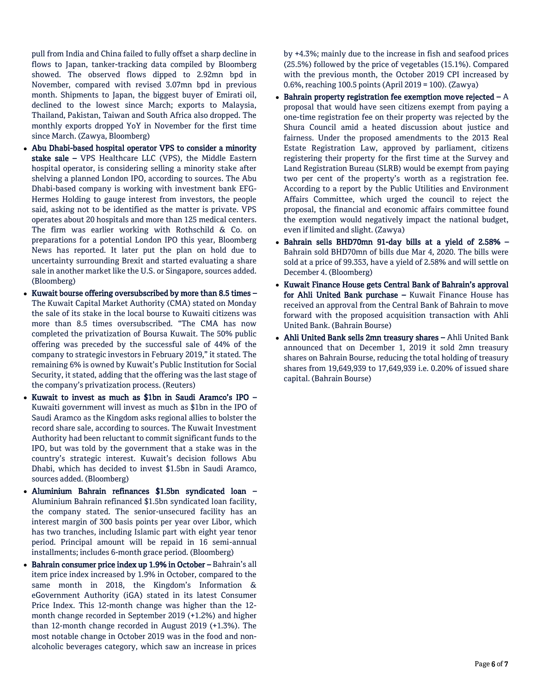pull from India and China failed to fully offset a sharp decline in flows to Japan, tanker-tracking data compiled by Bloomberg showed. The observed flows dipped to 2.92mn bpd in November, compared with revised 3.07mn bpd in previous month. Shipments to Japan, the biggest buyer of Emirati oil, declined to the lowest since March; exports to Malaysia, Thailand, Pakistan, Taiwan and South Africa also dropped. The monthly exports dropped YoY in November for the first time since March. (Zawya, Bloomberg)

- Abu Dhabi-based hospital operator VPS to consider a minority stake sale – VPS Healthcare LLC (VPS), the Middle Eastern hospital operator, is considering selling a minority stake after shelving a planned London IPO, according to sources. The Abu Dhabi-based company is working with investment bank EFG-Hermes Holding to gauge interest from investors, the people said, asking not to be identified as the matter is private. VPS operates about 20 hospitals and more than 125 medical centers. The firm was earlier working with Rothschild & Co. on preparations for a potential London IPO this year, Bloomberg News has reported. It later put the plan on hold due to uncertainty surrounding Brexit and started evaluating a share sale in another market like the U.S. or Singapore, sources added. (Bloomberg)
- Kuwait bourse offering oversubscribed by more than 8.5 times The Kuwait Capital Market Authority (CMA) stated on Monday the sale of its stake in the local bourse to Kuwaiti citizens was more than 8.5 times oversubscribed. "The CMA has now completed the privatization of Boursa Kuwait. The 50% public offering was preceded by the successful sale of 44% of the company to strategic investors in February 2019," it stated. The remaining 6% is owned by Kuwait's Public Institution for Social Security, it stated, adding that the offering was the last stage of the company's privatization process. (Reuters)
- Kuwait to invest as much as \$1bn in Saudi Aramco's IPO Kuwaiti government will invest as much as \$1bn in the IPO of Saudi Aramco as the Kingdom asks regional allies to bolster the record share sale, according to sources. The Kuwait Investment Authority had been reluctant to commit significant funds to the IPO, but was told by the government that a stake was in the country's strategic interest. Kuwait's decision follows Abu Dhabi, which has decided to invest \$1.5bn in Saudi Aramco, sources added. (Bloomberg)
- Aluminium Bahrain refinances \$1.5bn syndicated loan Aluminium Bahrain refinanced \$1.5bn syndicated loan facility, the company stated. The senior-unsecured facility has an interest margin of 300 basis points per year over Libor, which has two tranches, including Islamic part with eight year tenor period. Principal amount will be repaid in 16 semi-annual installments; includes 6-month grace period. (Bloomberg)
- Bahrain consumer price index up 1.9% in October Bahrain's all item price index increased by 1.9% in October, compared to the same month in 2018, the Kingdom's Information & eGovernment Authority (iGA) stated in its latest Consumer Price Index. This 12-month change was higher than the 12 month change recorded in September 2019 (+1.2%) and higher than 12-month change recorded in August 2019 (+1.3%). The most notable change in October 2019 was in the food and nonalcoholic beverages category, which saw an increase in prices

by +4.3%; mainly due to the increase in fish and seafood prices (25.5%) followed by the price of vegetables (15.1%). Compared with the previous month, the October 2019 CPI increased by 0.6%, reaching 100.5 points (April 2019 = 100). (Zawya)

- Bahrain property registration fee exemption move rejected  $-A$ proposal that would have seen citizens exempt from paying a one-time registration fee on their property was rejected by the Shura Council amid a heated discussion about justice and fairness. Under the proposed amendments to the 2013 Real Estate Registration Law, approved by parliament, citizens registering their property for the first time at the Survey and Land Registration Bureau (SLRB) would be exempt from paying two per cent of the property's worth as a registration fee. According to a report by the Public Utilities and Environment Affairs Committee, which urged the council to reject the proposal, the financial and economic affairs committee found the exemption would negatively impact the national budget, even if limited and slight. (Zawya)
- Bahrain sells BHD70mn 91-day bills at a yield of 2.58% Bahrain sold BHD70mn of bills due Mar 4, 2020. The bills were sold at a price of 99.353, have a yield of 2.58% and will settle on December 4. (Bloomberg)
- Kuwait Finance House gets Central Bank of Bahrain's approval for Ahli United Bank purchase - Kuwait Finance House has received an approval from the Central Bank of Bahrain to move forward with the proposed acquisition transaction with Ahli United Bank. (Bahrain Bourse)
- Ahli United Bank sells 2mn treasury shares Ahli United Bank announced that on December 1, 2019 it sold 2mn treasury shares on Bahrain Bourse, reducing the total holding of treasury shares from 19,649,939 to 17,649,939 i.e. 0.20% of issued share capital. (Bahrain Bourse)